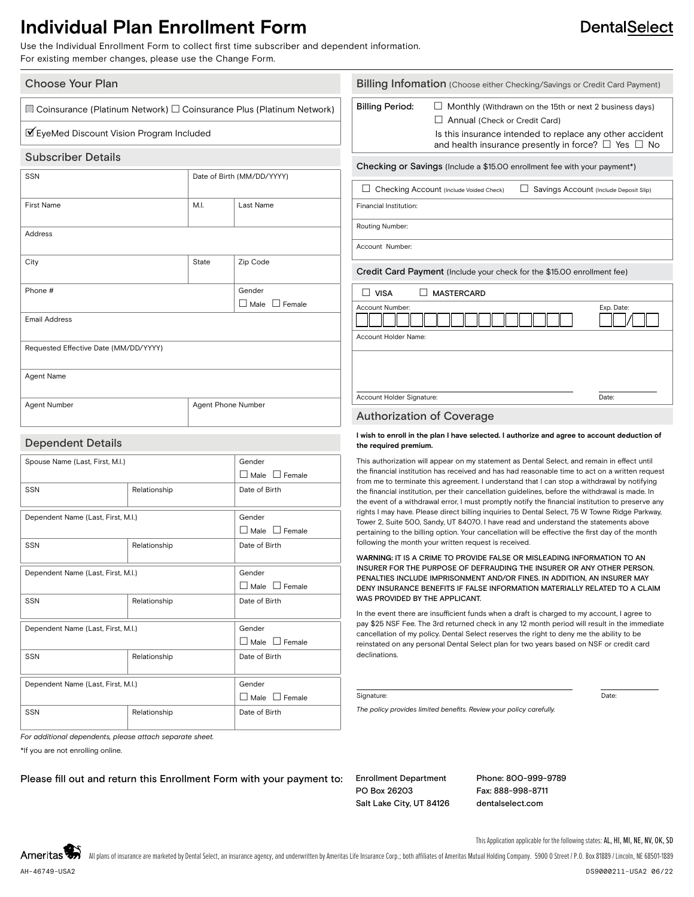## **Individual Plan Enrollment Form**

Use the Individual Enrollment Form to collect first time subscriber and dependent information. For existing member changes, please use the Change Form.

## Choose Your Plan

 $\Box$  Coinsurance (Platinum Network)  $\Box$  Coinsurance Plus (Platinum Network)

### ■EyeMed Discount Vision Program Included

### Subscriber Details

| SSN                                   | Date of Birth (MM/DD/YYYY) |                           |  |  |
|---------------------------------------|----------------------------|---------------------------|--|--|
| <b>First Name</b>                     | M.I.                       | Last Name                 |  |  |
| Address                               |                            |                           |  |  |
| City                                  | State                      | Zip Code                  |  |  |
| Phone #                               |                            | Gender                    |  |  |
|                                       |                            | $\Box$ Male $\Box$ Female |  |  |
| <b>Email Address</b>                  |                            |                           |  |  |
| Requested Effective Date (MM/DD/YYYY) |                            |                           |  |  |
| Agent Name                            |                            |                           |  |  |
| Agent Number                          | Agent Phone Number         |                           |  |  |

## Dependent Details

| Spouse Name (Last, First, M.I.)    |              | Gender                       |  |
|------------------------------------|--------------|------------------------------|--|
|                                    |              | $\Box$ Male $\Box$ Female    |  |
| <b>SSN</b>                         | Relationship | Date of Birth                |  |
|                                    |              |                              |  |
| Dependent Name (Last, First, M.I.) |              | Gender                       |  |
|                                    |              | $\Box$ Male $\Box$ Female    |  |
| SSN                                | Relationship | Date of Birth                |  |
|                                    |              |                              |  |
| Dependent Name (Last, First, M.I.) |              | Gender                       |  |
|                                    |              | ∐ Male<br>$\Box$ Female      |  |
| SSN                                | Relationship | Date of Birth                |  |
|                                    |              |                              |  |
| Dependent Name (Last, First, M.I.) |              | Gender                       |  |
|                                    |              | □ Male □ Female              |  |
| SSN                                | Relationship | Date of Birth                |  |
|                                    |              |                              |  |
| Dependent Name (Last, First, M.I.) |              | Gender                       |  |
|                                    |              | $\Box$ Male<br>$\Box$ Female |  |
| SSN                                | Relationship | Date of Birth                |  |
|                                    |              |                              |  |

|                                         | Billing Infomation (Choose either Checking/Savings or Credit Card Payment)                                                                                                                                            |            |  |
|-----------------------------------------|-----------------------------------------------------------------------------------------------------------------------------------------------------------------------------------------------------------------------|------------|--|
| <b>Billing Period:</b>                  | Monthly (Withdrawn on the 15th or next 2 business days)<br>Annual (Check or Credit Card)<br>Is this insurance intended to replace any other accident<br>and health insurance presently in force? $\Box$ Yes $\Box$ No |            |  |
|                                         | Checking or Savings (Include a \$15.00 enrollment fee with your payment*)                                                                                                                                             |            |  |
|                                         | Checking Account (Include Voided Check)<br>Savings Account (Include Deposit Slip)                                                                                                                                     |            |  |
| Financial Institution:                  |                                                                                                                                                                                                                       |            |  |
| Routing Number:                         |                                                                                                                                                                                                                       |            |  |
| Account Number:                         |                                                                                                                                                                                                                       |            |  |
|                                         | Credit Card Payment (Include your check for the \$15.00 enrollment fee)                                                                                                                                               |            |  |
| <b>VISA</b>                             | <b>MASTERCARD</b>                                                                                                                                                                                                     |            |  |
| Account Number:<br>Account Holder Name: |                                                                                                                                                                                                                       | Exp. Date: |  |
| Account Holder Signature:               |                                                                                                                                                                                                                       | Date:      |  |
|                                         |                                                                                                                                                                                                                       |            |  |

### Authorization of Coverage

#### I wish to enroll in the plan I have selected. I authorize and agree to account deduction of **the required premium.**

This authorization will appear on my statement as Dental Select, and remain in effect until the financial institution has received and has had reasonable time to act on a written request from me to terminate this agreement. I understand that I can stop a withdrawal by notifying the financial institution, per their cancellation guidelines, before the withdrawal is made. In the event of a withdrawal error, I must promptly notify the financial institution to preserve any rights I may have. Please direct billing inquiries to Dental Select, 75 W Towne Ridge Parkway, Tower 2, Suite 500, Sandy, UT 84070. I have read and understand the statements above pertaining to the billing option. Your cancellation will be effective the first day of the month following the month your written request is received.

#### W**ARNING:** IT IS A CRIME TO PROVIDE FALSE OR MISLEADING INFORMATION TO AN INSURER FOR THE PURPOSE OF DEFRAUDING THE INSURER OR ANY OTHER PERSON. PENALTIES INCLUDE IMPRISONMENT AND/OR FINES. IN ADDITION, AN INSURER MAY DENY INSURANCE BENEFITS IF FALSE INFORMATION MATERIALLY RELATED TO A CLAIM WAS PROVIDED BY THE APPLICANT.

In the event there are insufficient funds when a draft is charged to my account, I agree to pay \$25 NSF Fee. The 3rd returned check in any 12 month period will result in the immediate cancellation of my policy. Dental Select reserves the right to deny me the ability to be reinstated on any personal Dental Select plan for two years based on NSF or credit card declinations.

#### Signature: Date: Date: Date: Date: Date: Date: Date: Date: Date: Date: Date: Date: Date: Date: Date: Date: Date: Date: Date: Date: Date: Date: Date: Date: Date: Date: Date: Date: Date: Date: Date: Date: Date: Date: Date: D

*The policy provides limited benefits. Review your policy carefully.*

*For additional dependents, please attach separate sheet.*

\*If you are not enrolling online.

Please fill out and return this Enrollment Form with your payment to: Enrollment Department

PO Box 26203 Salt Lake City, UT 84126 Phone: 800-999-9789 Fax: 888-998-8711 dentalselect.com

**DentalSelect** 

This Application applicable for the following states: AL, HI, MI, NE, NV, OK, SD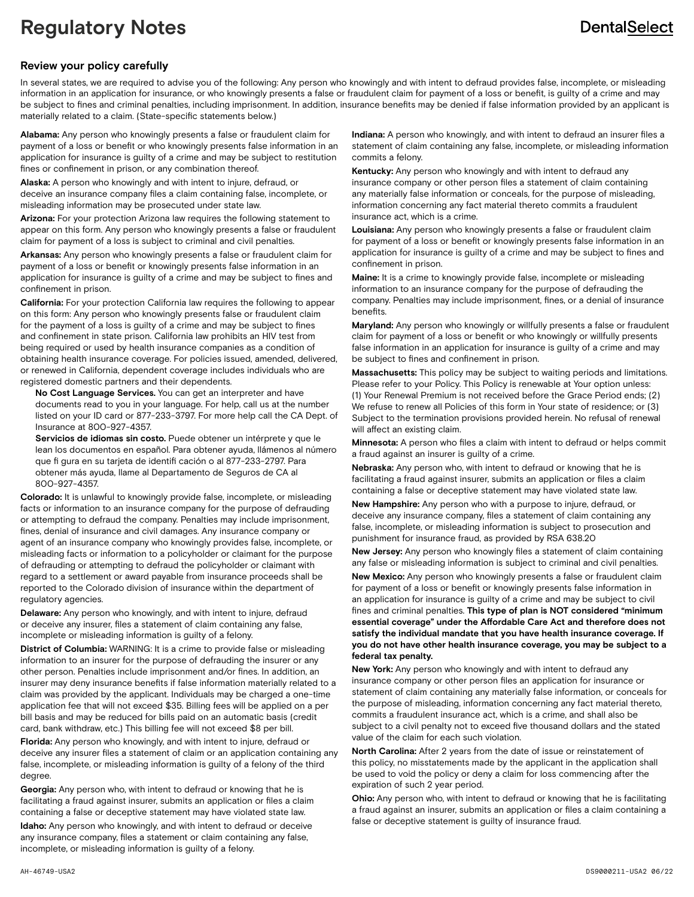# **Regulatory Notes**

## **DentalSelect**

## **Review your policy carefully**

In several states, we are required to advise you of the following: Any person who knowingly and with intent to defraud provides false, incomplete, or misleading information in an application for insurance, or who knowingly presents a false or fraudulent claim for payment of a loss or benefit, is guilty of a crime and may be subject to fines and criminal penalties, including imprisonment. In addition, insurance benefits may be denied if false information provided by an applicant is materially related to a claim. (State-specific statements below.)

**Alabama:** Any person who knowingly presents a false or fraudulent claim for payment of a loss or benefit or who knowingly presents false information in an application for insurance is guilty of a crime and may be subject to restitution fines or confinement in prison, or any combination thereof.

**Alaska:** A person who knowingly and with intent to injure, defraud, or deceive an insurance company files a claim containing false, incomplete, or misleading information may be prosecuted under state law.

**Arizona:** For your protection Arizona law requires the following statement to appear on this form. Any person who knowingly presents a false or fraudulent claim for payment of a loss is subject to criminal and civil penalties.

**Arkansas:** Any person who knowingly presents a false or fraudulent claim for payment of a loss or benefit or knowingly presents false information in an application for insurance is guilty of a crime and may be subject to fines and confinement in prison.

**California:** For your protection California law requires the following to appear on this form: Any person who knowingly presents false or fraudulent claim for the payment of a loss is guilty of a crime and may be subject to fines and confinement in state prison. California law prohibits an HIV test from being required or used by health insurance companies as a condition of obtaining health insurance coverage. For policies issued, amended, delivered, or renewed in California, dependent coverage includes individuals who are registered domestic partners and their dependents.

 **No Cost Language Services.** You can get an interpreter and have documents read to you in your language. For help, call us at the number listed on your ID card or 877-233-3797. For more help call the CA Dept. of Insurance at 800-927-4357.

 **Servicios de idiomas sin costo.** Puede obtener un intérprete y que le lean los documentos en español. Para obtener ayuda, llámenos al número que fi gura en su tarjeta de identifi cación o al 877-233-2797. Para obtener más ayuda, llame al Departamento de Seguros de CA al 800-927-4357.

**Colorado:** It is unlawful to knowingly provide false, incomplete, or misleading facts or information to an insurance company for the purpose of defrauding or attempting to defraud the company. Penalties may include imprisonment, fines, denial of insurance and civil damages. Any insurance company or agent of an insurance company who knowingly provides false, incomplete, or misleading facts or information to a policyholder or claimant for the purpose of defrauding or attempting to defraud the policyholder or claimant with regard to a settlement or award payable from insurance proceeds shall be reported to the Colorado division of insurance within the department of regulatory agencies.

**Delaware:** Any person who knowingly, and with intent to injure, defraud or deceive any insurer, files a statement of claim containing any false, incomplete or misleading information is guilty of a felony.

**District of Columbia:** WARNING: It is a crime to provide false or misleading information to an insurer for the purpose of defrauding the insurer or any other person. Penalties include imprisonment and/or fines. In addition, an insurer may deny insurance benefits if false information materially related to a claim was provided by the applicant. Individuals may be charged a one-time application fee that will not exceed \$35. Billing fees will be applied on a per bill basis and may be reduced for bills paid on an automatic basis (credit card, bank withdraw, etc.) This billing fee will not exceed \$8 per bill.

**Florida:** Any person who knowingly, and with intent to injure, defraud or deceive any insurer files a statement of claim or an application containing any false, incomplete, or misleading information is guilty of a felony of the third degree.

**Georgia:** Any person who, with intent to defraud or knowing that he is facilitating a fraud against insurer, submits an application or files a claim containing a false or deceptive statement may have violated state law.

**Idaho:** Any person who knowingly, and with intent to defraud or deceive any insurance company, files a statement or claim containing any false, incomplete, or misleading information is guilty of a felony.

**Indiana:** A person who knowingly, and with intent to defraud an insurer files a statement of claim containing any false, incomplete, or misleading information commits a felony.

**Kentucky:** Any person who knowingly and with intent to defraud any insurance company or other person files a statement of claim containing any materially false information or conceals, for the purpose of misleading, information concerning any fact material thereto commits a fraudulent insurance act, which is a crime.

**Louisiana:** Any person who knowingly presents a false or fraudulent claim for payment of a loss or benefit or knowingly presents false information in an application for insurance is guilty of a crime and may be subject to fines and confinement in prison.

**Maine:** It is a crime to knowingly provide false, incomplete or misleading information to an insurance company for the purpose of defrauding the company. Penalties may include imprisonment, fines, or a denial of insurance benefits.

**Maryland:** Any person who knowingly or willfully presents a false or fraudulent claim for payment of a loss or benefit or who knowingly or willfully presents false information in an application for insurance is guilty of a crime and may be subject to fines and confinement in prison.

**Massachusetts:** This policy may be subject to waiting periods and limitations. Please refer to your Policy. This Policy is renewable at Your option unless: (1) Your Renewal Premium is not received before the Grace Period ends; (2) We refuse to renew all Policies of this form in Your state of residence; or (3) Subject to the termination provisions provided herein. No refusal of renewal will affect an existing claim.

**Minnesota:** A person who files a claim with intent to defraud or helps commit a fraud against an insurer is guilty of a crime.

**Nebraska:** Any person who, with intent to defraud or knowing that he is facilitating a fraud against insurer, submits an application or files a claim containing a false or deceptive statement may have violated state law.

**New Hampshire:** Any person who with a purpose to injure, defraud, or deceive any insurance company, files a statement of claim containing any false, incomplete, or misleading information is subject to prosecution and punishment for insurance fraud, as provided by RSA 638.20

**New Jersey:** Any person who knowingly files a statement of claim containing any false or misleading information is subject to criminal and civil penalties.

**New Mexico:** Any person who knowingly presents a false or fraudulent claim for payment of a loss or benefit or knowingly presents false information in an application for insurance is guilty of a crime and may be subject to civil fines and criminal penalties. **This type of plan is NOT considered "minimum essential coverage" under the Affordable Care Act and therefore does not satisfy the individual mandate that you have health insurance coverage. If you do not have other health insurance coverage, you may be subject to a federal tax penalty.**

**New York:** Any person who knowingly and with intent to defraud any insurance company or other person files an application for insurance or statement of claim containing any materially false information, or conceals for the purpose of misleading, information concerning any fact material thereto, commits a fraudulent insurance act, which is a crime, and shall also be subject to a civil penalty not to exceed five thousand dollars and the stated value of the claim for each such violation.

**North Carolina:** After 2 years from the date of issue or reinstatement of this policy, no misstatements made by the applicant in the application shall be used to void the policy or deny a claim for loss commencing after the expiration of such 2 year period.

**Ohio:** Any person who, with intent to defraud or knowing that he is facilitating a fraud against an insurer, submits an application or files a claim containing a false or deceptive statement is guilty of insurance fraud.